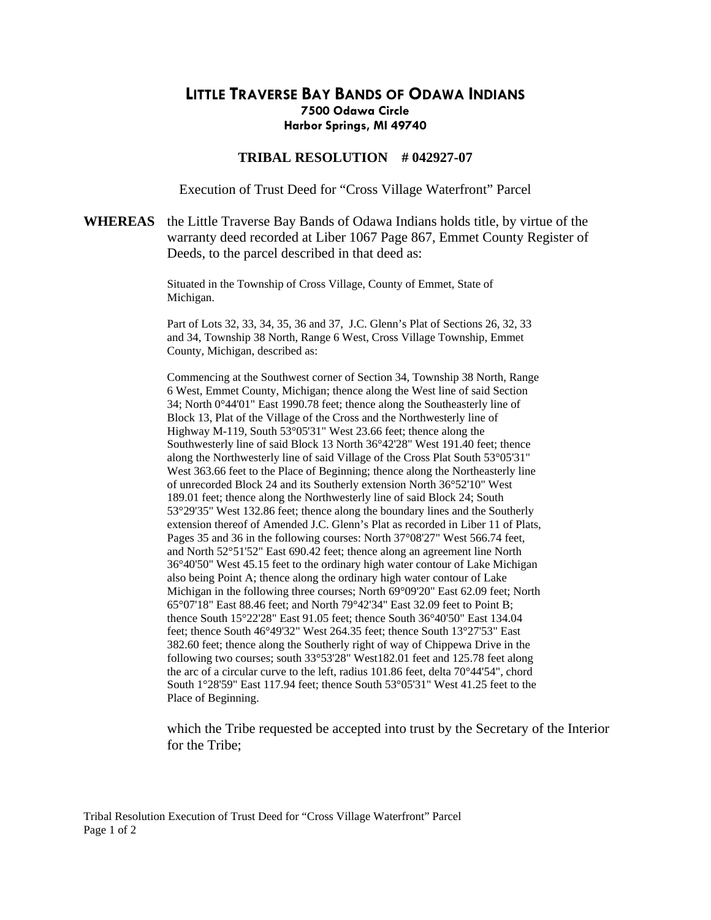## **LITTLE TRAVERSE BAY BANDS OF ODAWA INDIANS 7500 Odawa Circle Harbor Springs, MI 49740**

## **TRIBAL RESOLUTION # 042927-07**

Execution of Trust Deed for "Cross Village Waterfront" Parcel

## **WHEREAS** the Little Traverse Bay Bands of Odawa Indians holds title, by virtue of the warranty deed recorded at Liber 1067 Page 867, Emmet County Register of Deeds, to the parcel described in that deed as:

Situated in the Township of Cross Village, County of Emmet, State of Michigan.

Part of Lots 32, 33, 34, 35, 36 and 37, J.C. Glenn's Plat of Sections 26, 32, 33 and 34, Township 38 North, Range 6 West, Cross Village Township, Emmet County, Michigan, described as:

Commencing at the Southwest corner of Section 34, Township 38 North, Range 6 West, Emmet County, Michigan; thence along the West line of said Section 34; North 0°44'01" East 1990.78 feet; thence along the Southeasterly line of Block 13, Plat of the Village of the Cross and the Northwesterly line of Highway M-119, South 53°05'31" West 23.66 feet; thence along the Southwesterly line of said Block 13 North 36°42'28" West 191.40 feet; thence along the Northwesterly line of said Village of the Cross Plat South 53°05'31" West 363.66 feet to the Place of Beginning; thence along the Northeasterly line of unrecorded Block 24 and its Southerly extension North 36°52'10" West 189.01 feet; thence along the Northwesterly line of said Block 24; South 53°29'35" West 132.86 feet; thence along the boundary lines and the Southerly extension thereof of Amended J.C. Glenn's Plat as recorded in Liber 11 of Plats, Pages 35 and 36 in the following courses: North 37°08'27" West 566.74 feet, and North 52°51'52" East 690.42 feet; thence along an agreement line North 36°40'50" West 45.15 feet to the ordinary high water contour of Lake Michigan also being Point A; thence along the ordinary high water contour of Lake Michigan in the following three courses; North 69°09'20" East 62.09 feet; North 65°07'18" East 88.46 feet; and North 79°42'34" East 32.09 feet to Point B; thence South 15°22'28" East 91.05 feet; thence South 36°40'50" East 134.04 feet; thence South 46°49'32" West 264.35 feet; thence South 13°27'53" East 382.60 feet; thence along the Southerly right of way of Chippewa Drive in the following two courses; south 33°53'28" West182.01 feet and 125.78 feet along the arc of a circular curve to the left, radius 101.86 feet, delta 70°44'54", chord South 1°28'59" East 117.94 feet; thence South 53°05'31" West 41.25 feet to the Place of Beginning.

 which the Tribe requested be accepted into trust by the Secretary of the Interior for the Tribe;

Tribal Resolution Execution of Trust Deed for "Cross Village Waterfront" Parcel Page 1 of 2